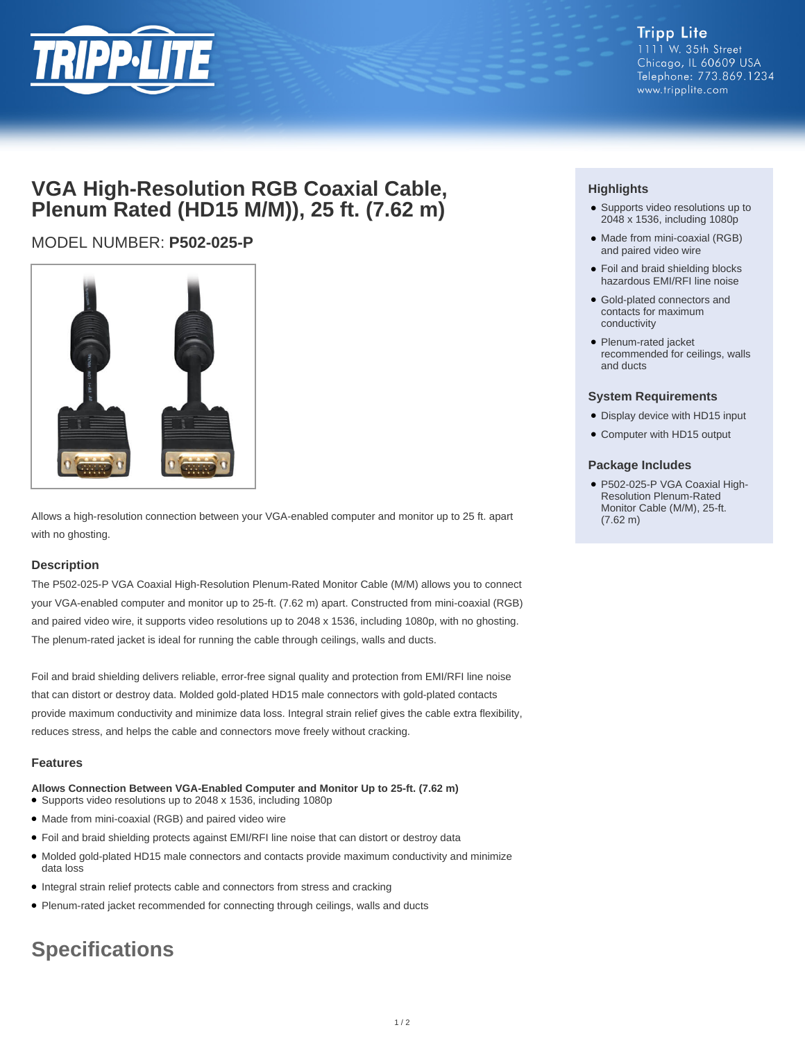

# **VGA High-Resolution RGB Coaxial Cable, Plenum Rated (HD15 M/M)), 25 ft. (7.62 m)**

# MODEL NUMBER: **P502-025-P**



Allows a high-resolution connection between your VGA-enabled computer and monitor up to 25 ft. apart with no ghosting.

## **Description**

The P502-025-P VGA Coaxial High-Resolution Plenum-Rated Monitor Cable (M/M) allows you to connect your VGA-enabled computer and monitor up to 25-ft. (7.62 m) apart. Constructed from mini-coaxial (RGB) and paired video wire, it supports video resolutions up to 2048 x 1536, including 1080p, with no ghosting. The plenum-rated jacket is ideal for running the cable through ceilings, walls and ducts.

Foil and braid shielding delivers reliable, error-free signal quality and protection from EMI/RFI line noise that can distort or destroy data. Molded gold-plated HD15 male connectors with gold-plated contacts provide maximum conductivity and minimize data loss. Integral strain relief gives the cable extra flexibility, reduces stress, and helps the cable and connectors move freely without cracking.

## **Features**

- **Allows Connection Between VGA-Enabled Computer and Monitor Up to 25-ft. (7.62 m)**
- Supports video resolutions up to 2048 x 1536, including 1080p
- Made from mini-coaxial (RGB) and paired video wire
- Foil and braid shielding protects against EMI/RFI line noise that can distort or destroy data
- Molded gold-plated HD15 male connectors and contacts provide maximum conductivity and minimize data loss
- Integral strain relief protects cable and connectors from stress and cracking
- Plenum-rated jacket recommended for connecting through ceilings, walls and ducts

# **Specifications**

# **Highlights**

- Supports video resolutions up to 2048 x 1536, including 1080p
- Made from mini-coaxial (RGB) and paired video wire
- Foil and braid shielding blocks hazardous EMI/RFI line noise
- Gold-plated connectors and contacts for maximum conductivity
- Plenum-rated jacket recommended for ceilings, walls and ducts

#### **System Requirements**

- Display device with HD15 input
- Computer with HD15 output

## **Package Includes**

● P502-025-P VGA Coaxial High-Resolution Plenum-Rated Monitor Cable (M/M), 25-ft. (7.62 m)